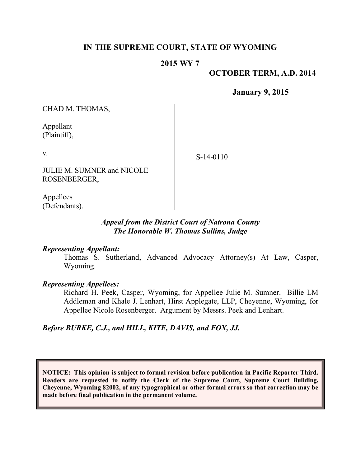# **IN THE SUPREME COURT, STATE OF WYOMING**

### **2015 WY 7**

#### **OCTOBER TERM, A.D. 2014**

**January 9, 2015**

CHAD M. THOMAS,

Appellant (Plaintiff),

v.

S-14-0110

JULIE M. SUMNER and NICOLE ROSENBERGER,

Appellees (Defendants).

### *Appeal from the District Court of Natrona County The Honorable W. Thomas Sullins, Judge*

#### *Representing Appellant:*

Thomas S. Sutherland, Advanced Advocacy Attorney(s) At Law, Casper, Wyoming.

#### *Representing Appellees:*

Richard H. Peek, Casper, Wyoming, for Appellee Julie M. Sumner. Billie LM Addleman and Khale J. Lenhart, Hirst Applegate, LLP, Cheyenne, Wyoming, for Appellee Nicole Rosenberger. Argument by Messrs. Peek and Lenhart.

#### *Before BURKE, C.J., and HILL, KITE, DAVIS, and FOX, JJ.*

**NOTICE: This opinion is subject to formal revision before publication in Pacific Reporter Third. Readers are requested to notify the Clerk of the Supreme Court, Supreme Court Building, Cheyenne, Wyoming 82002, of any typographical or other formal errors so that correction may be made before final publication in the permanent volume.**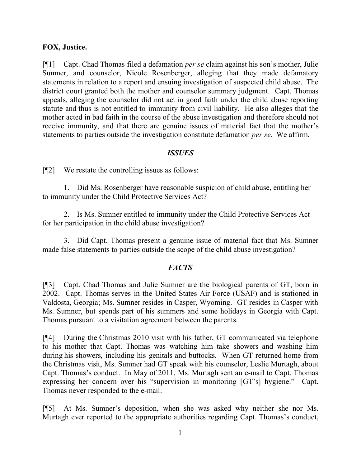### **FOX, Justice.**

[¶1] Capt. Chad Thomas filed a defamation *per se* claim against his son's mother, Julie Sumner, and counselor, Nicole Rosenberger, alleging that they made defamatory statements in relation to a report and ensuing investigation of suspected child abuse. The district court granted both the mother and counselor summary judgment. Capt. Thomas appeals, alleging the counselor did not act in good faith under the child abuse reporting statute and thus is not entitled to immunity from civil liability. He also alleges that the mother acted in bad faith in the course of the abuse investigation and therefore should not receive immunity, and that there are genuine issues of material fact that the mother's statements to parties outside the investigation constitute defamation *per se*. We affirm.

### *ISSUES*

[¶2] We restate the controlling issues as follows:

1. Did Ms. Rosenberger have reasonable suspicion of child abuse, entitling her to immunity under the Child Protective Services Act?

2. Is Ms. Sumner entitled to immunity under the Child Protective Services Act for her participation in the child abuse investigation?

3. Did Capt. Thomas present a genuine issue of material fact that Ms. Sumner made false statements to parties outside the scope of the child abuse investigation?

### *FACTS*

[¶3] Capt. Chad Thomas and Julie Sumner are the biological parents of GT, born in 2002. Capt. Thomas serves in the United States Air Force (USAF) and is stationed in Valdosta, Georgia; Ms. Sumner resides in Casper, Wyoming. GT resides in Casper with Ms. Sumner, but spends part of his summers and some holidays in Georgia with Capt. Thomas pursuant to a visitation agreement between the parents.

[¶4] During the Christmas 2010 visit with his father, GT communicated via telephone to his mother that Capt. Thomas was watching him take showers and washing him during his showers, including his genitals and buttocks. When GT returned home from the Christmas visit, Ms. Sumner had GT speak with his counselor, Leslie Murtagh, about Capt. Thomas's conduct. In May of 2011, Ms. Murtagh sent an e-mail to Capt. Thomas expressing her concern over his "supervision in monitoring [GT's] hygiene." Capt. Thomas never responded to the e-mail.

[¶5] At Ms. Sumner's deposition, when she was asked why neither she nor Ms. Murtagh ever reported to the appropriate authorities regarding Capt. Thomas's conduct,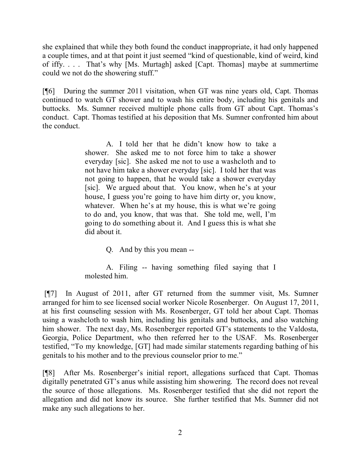she explained that while they both found the conduct inappropriate, it had only happened a couple times, and at that point it just seemed "kind of questionable, kind of weird, kind of iffy. . . . That's why [Ms. Murtagh] asked [Capt. Thomas] maybe at summertime could we not do the showering stuff."

[¶6] During the summer 2011 visitation, when GT was nine years old, Capt. Thomas continued to watch GT shower and to wash his entire body, including his genitals and buttocks. Ms. Sumner received multiple phone calls from GT about Capt. Thomas's conduct. Capt. Thomas testified at his deposition that Ms. Sumner confronted him about the conduct.

> A. I told her that he didn't know how to take a shower. She asked me to not force him to take a shower everyday [sic]. She asked me not to use a washcloth and to not have him take a shower everyday [sic]. I told her that was not going to happen, that he would take a shower everyday [sic]. We argued about that. You know, when he's at your house, I guess you're going to have him dirty or, you know, whatever. When he's at my house, this is what we're going to do and, you know, that was that. She told me, well, I'm going to do something about it. And I guess this is what she did about it.

> > Q. And by this you mean --

A. Filing -- having something filed saying that I molested him.

[¶7] In August of 2011, after GT returned from the summer visit, Ms. Sumner arranged for him to see licensed social worker Nicole Rosenberger. On August 17, 2011, at his first counseling session with Ms. Rosenberger, GT told her about Capt. Thomas using a washcloth to wash him, including his genitals and buttocks, and also watching him shower. The next day, Ms. Rosenberger reported GT's statements to the Valdosta, Georgia, Police Department, who then referred her to the USAF. Ms. Rosenberger testified, "To my knowledge, [GT] had made similar statements regarding bathing of his genitals to his mother and to the previous counselor prior to me."

[¶8] After Ms. Rosenberger's initial report, allegations surfaced that Capt. Thomas digitally penetrated GT's anus while assisting him showering. The record does not reveal the source of those allegations. Ms. Rosenberger testified that she did not report the allegation and did not know its source. She further testified that Ms. Sumner did not make any such allegations to her.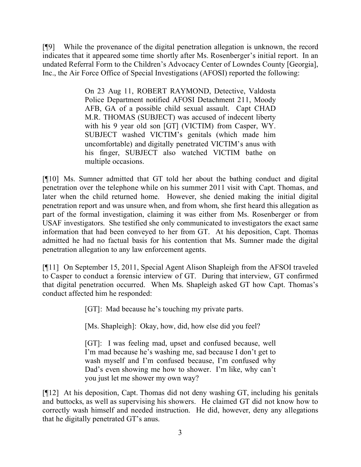[¶9] While the provenance of the digital penetration allegation is unknown, the record indicates that it appeared some time shortly after Ms. Rosenberger's initial report. In an undated Referral Form to the Children's Advocacy Center of Lowndes County [Georgia], Inc., the Air Force Office of Special Investigations (AFOSI) reported the following:

> On 23 Aug 11, ROBERT RAYMOND, Detective, Valdosta Police Department notified AFOSI Detachment 211, Moody AFB, GA of a possible child sexual assault. Capt CHAD M.R. THOMAS (SUBJECT) was accused of indecent liberty with his 9 year old son [GT] (VICTIM) from Casper, WY. SUBJECT washed VICTIM's genitals (which made him uncomfortable) and digitally penetrated VICTIM's anus with his finger, SUBJECT also watched VICTIM bathe on multiple occasions.

[¶10] Ms. Sumner admitted that GT told her about the bathing conduct and digital penetration over the telephone while on his summer 2011 visit with Capt. Thomas, and later when the child returned home. However, she denied making the initial digital penetration report and was unsure when, and from whom, she first heard this allegation as part of the formal investigation, claiming it was either from Ms. Rosenberger or from USAF investigators. She testified she only communicated to investigators the exact same information that had been conveyed to her from GT. At his deposition, Capt. Thomas admitted he had no factual basis for his contention that Ms. Sumner made the digital penetration allegation to any law enforcement agents.

[¶11] On September 15, 2011, Special Agent Alison Shapleigh from the AFSOI traveled to Casper to conduct a forensic interview of GT. During that interview, GT confirmed that digital penetration occurred. When Ms. Shapleigh asked GT how Capt. Thomas's conduct affected him he responded:

[GT]: Mad because he's touching my private parts.

[Ms. Shapleigh]: Okay, how, did, how else did you feel?

[GT]: I was feeling mad, upset and confused because, well I'm mad because he's washing me, sad because I don't get to wash myself and I'm confused because, I'm confused why Dad's even showing me how to shower. I'm like, why can't you just let me shower my own way?

[¶12] At his deposition, Capt. Thomas did not deny washing GT, including his genitals and buttocks, as well as supervising his showers. He claimed GT did not know how to correctly wash himself and needed instruction. He did, however, deny any allegations that he digitally penetrated GT's anus.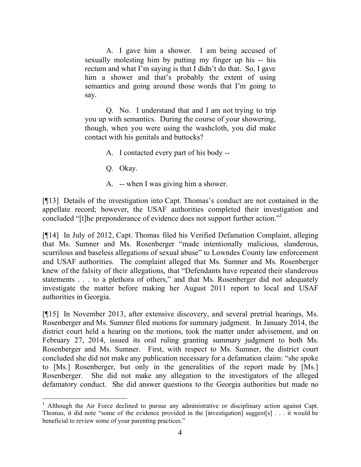A. I gave him a shower. I am being accused of sexually molesting him by putting my finger up his -- his rectum and what I'm saying is that I didn't do that. So, I gave him a shower and that's probably the extent of using semantics and going around those words that I'm going to say.

Q. No. I understand that and I am not trying to trip you up with semantics. During the course of your showering, though, when you were using the washcloth, you did make contact with his genitals and buttocks?

- A. I contacted every part of his body --
- Q. Okay.
- A. -- when I was giving him a shower.

[¶13] Details of the investigation into Capt. Thomas's conduct are not contained in the appellate record; however, the USAF authorities completed their investigation and concluded "[t]he preponderance of evidence does not support further action."<sup>1</sup>

[¶14] In July of 2012, Capt. Thomas filed his Verified Defamation Complaint, alleging that Ms. Sumner and Ms. Rosenberger "made intentionally malicious, slanderous, scurrilous and baseless allegations of sexual abuse" to Lowndes County law enforcement and USAF authorities. The complaint alleged that Ms. Sumner and Ms. Rosenberger knew of the falsity of their allegations, that "Defendants have repeated their slanderous statements . . . to a plethora of others," and that Ms. Rosenberger did not adequately investigate the matter before making her August 2011 report to local and USAF authorities in Georgia.

[¶15] In November 2013, after extensive discovery, and several pretrial hearings, Ms. Rosenberger and Ms. Sumner filed motions for summary judgment. In January 2014, the district court held a hearing on the motions, took the matter under advisement, and on February 27, 2014, issued its oral ruling granting summary judgment to both Ms. Rosenberger and Ms. Sumner. First, with respect to Ms. Sumner, the district court concluded she did not make any publication necessary for a defamation claim: "she spoke to [Ms.] Rosenberger, but only in the generalities of the report made by [Ms.] Rosenberger. She did not make any allegation to the investigators of the alleged defamatory conduct. She did answer questions to the Georgia authorities but made no

 <sup>1</sup> Although the Air Force declined to pursue any administrative or disciplinary action against Capt. Thomas, it did note "some of the evidence provided in the [investigation] suggest[s] . . . it would be beneficial to review some of your parenting practices."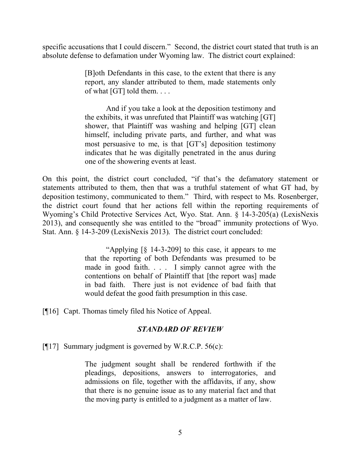specific accusations that I could discern." Second, the district court stated that truth is an absolute defense to defamation under Wyoming law. The district court explained:

> [B]oth Defendants in this case, to the extent that there is any report, any slander attributed to them, made statements only of what [GT] told them. . . .

> And if you take a look at the deposition testimony and the exhibits, it was unrefuted that Plaintiff was watching [GT] shower, that Plaintiff was washing and helping [GT] clean himself, including private parts, and further, and what was most persuasive to me, is that [GT's] deposition testimony indicates that he was digitally penetrated in the anus during one of the showering events at least.

On this point, the district court concluded, "if that's the defamatory statement or statements attributed to them, then that was a truthful statement of what GT had, by deposition testimony, communicated to them." Third, with respect to Ms. Rosenberger, the district court found that her actions fell within the reporting requirements of Wyoming's Child Protective Services Act, Wyo. Stat. Ann. § 14-3-205(a) (LexisNexis 2013), and consequently she was entitled to the "broad" immunity protections of Wyo. Stat. Ann. § 14-3-209 (LexisNexis 2013). The district court concluded:

> "Applying [§ 14-3-209] to this case, it appears to me that the reporting of both Defendants was presumed to be made in good faith. . . . I simply cannot agree with the contentions on behalf of Plaintiff that [the report was] made in bad faith. There just is not evidence of bad faith that would defeat the good faith presumption in this case.

[¶16] Capt. Thomas timely filed his Notice of Appeal.

### *STANDARD OF REVIEW*

[ $[17]$  Summary judgment is governed by W.R.C.P. 56(c):

The judgment sought shall be rendered forthwith if the pleadings, depositions, answers to interrogatories, and admissions on file, together with the affidavits, if any, show that there is no genuine issue as to any material fact and that the moving party is entitled to a judgment as a matter of law.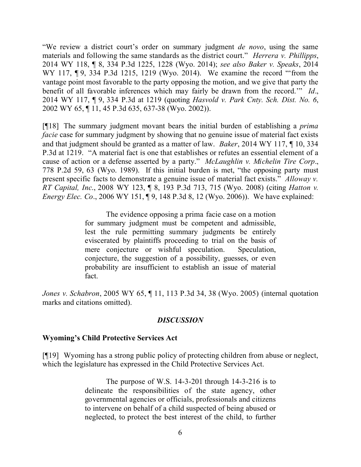"We review a district court's order on summary judgment *de novo*, using the same materials and following the same standards as the district court." *Herrera v. Phillipps*, 2014 WY 118, ¶ 8, 334 P.3d 1225, 1228 (Wyo. 2014); *see also Baker v. Speaks*, 2014 WY 117, ¶ 9, 334 P.3d 1215, 1219 (Wyo. 2014). We examine the record "'from the vantage point most favorable to the party opposing the motion, and we give that party the benefit of all favorable inferences which may fairly be drawn from the record.'" *Id*., 2014 WY 117, ¶ 9, 334 P.3d at 1219 (quoting *Hasvold v. Park Cnty. Sch. Dist. No. 6*, 2002 WY 65, ¶ 11, 45 P.3d 635, 637-38 (Wyo. 2002)).

[¶18] The summary judgment movant bears the initial burden of establishing a *prima facie* case for summary judgment by showing that no genuine issue of material fact exists and that judgment should be granted as a matter of law. *Baker*, 2014 WY 117, ¶ 10, 334 P.3d at 1219. "A material fact is one that establishes or refutes an essential element of a cause of action or a defense asserted by a party." *McLaughlin v. Michelin Tire Corp*., 778 P.2d 59, 63 (Wyo. 1989). If this initial burden is met, "the opposing party must present specific facts to demonstrate a genuine issue of material fact exists." *Alloway v. RT Capital, Inc*., 2008 WY 123, ¶ 8, 193 P.3d 713, 715 (Wyo. 2008) (citing *Hatton v. Energy Elec. Co.*, 2006 WY 151, 19, 148 P.3d 8, 12 (Wyo. 2006)). We have explained:

> The evidence opposing a prima facie case on a motion for summary judgment must be competent and admissible, lest the rule permitting summary judgments be entirely eviscerated by plaintiffs proceeding to trial on the basis of mere conjecture or wishful speculation. Speculation, conjecture, the suggestion of a possibility, guesses, or even probability are insufficient to establish an issue of material fact.

*Jones v. Schabron*, 2005 WY 65, ¶ 11, 113 P.3d 34, 38 (Wyo. 2005) (internal quotation marks and citations omitted).

#### *DISCUSSION*

#### **Wyoming's Child Protective Services Act**

[¶19] Wyoming has a strong public policy of protecting children from abuse or neglect, which the legislature has expressed in the Child Protective Services Act.

> The purpose of W.S. 14-3-201 through 14-3-216 is to delineate the responsibilities of the state agency, other governmental agencies or officials, professionals and citizens to intervene on behalf of a child suspected of being abused or neglected, to protect the best interest of the child, to further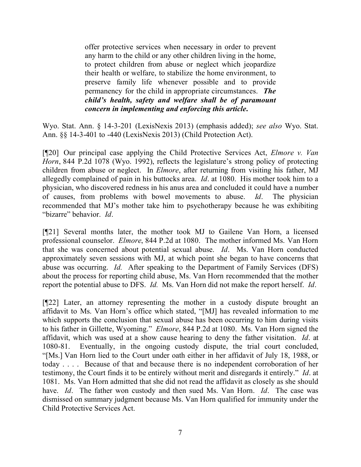offer protective services when necessary in order to prevent any harm to the child or any other children living in the home, to protect children from abuse or neglect which jeopardize their health or welfare, to stabilize the home environment, to preserve family life whenever possible and to provide permanency for the child in appropriate circumstances. *The child's health, safety and welfare shall be of paramount concern in implementing and enforcing this article***.**

Wyo. Stat. Ann. § 14-3-201 (LexisNexis 2013) (emphasis added); *see also* Wyo. Stat. Ann. §§ 14-3-401 to -440 (LexisNexis 2013) (Child Protection Act).

[¶20] Our principal case applying the Child Protective Services Act, *Elmore v. Van Horn*, 844 P.2d 1078 (Wyo. 1992), reflects the legislature's strong policy of protecting children from abuse or neglect. In *Elmore*, after returning from visiting his father, MJ allegedly complained of pain in his buttocks area. *Id*. at 1080. His mother took him to a physician, who discovered redness in his anus area and concluded it could have a number of causes, from problems with bowel movements to abuse. *Id*. The physician recommended that MJ's mother take him to psychotherapy because he was exhibiting "bizarre" behavior. *Id*.

[¶21] Several months later, the mother took MJ to Gailene Van Horn, a licensed professional counselor. *Elmore*, 844 P.2d at 1080. The mother informed Ms. Van Horn that she was concerned about potential sexual abuse. *Id*. Ms. Van Horn conducted approximately seven sessions with MJ, at which point she began to have concerns that abuse was occurring. *Id.* After speaking to the Department of Family Services (DFS) about the process for reporting child abuse, Ms. Van Horn recommended that the mother report the potential abuse to DFS. *Id.* Ms. Van Horn did not make the report herself. *Id*.

[¶22] Later, an attorney representing the mother in a custody dispute brought an affidavit to Ms. Van Horn's office which stated, "[MJ] has revealed information to me which supports the conclusion that sexual abuse has been occurring to him during visits to his father in Gillette, Wyoming." *Elmore*, 844 P.2d at 1080. Ms. Van Horn signed the affidavit, which was used at a show cause hearing to deny the father visitation. *Id*. at 1080-81. Eventually, in the ongoing custody dispute, the trial court concluded, "[Ms.] Van Horn lied to the Court under oath either in her affidavit of July 18, 1988, or today . . . . Because of that and because there is no independent corroboration of her testimony, the Court finds it to be entirely without merit and disregards it entirely." *Id*. at 1081. Ms. Van Horn admitted that she did not read the affidavit as closely as she should have. *Id*. The father won custody and then sued Ms. Van Horn. *Id*. The case was dismissed on summary judgment because Ms. Van Horn qualified for immunity under the Child Protective Services Act.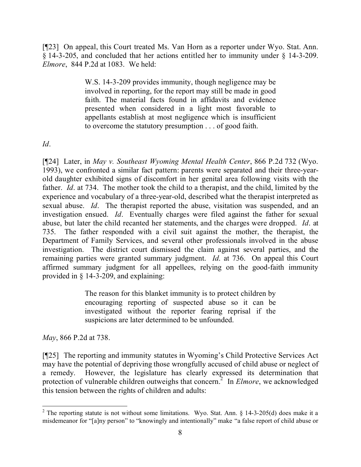[¶23] On appeal, this Court treated Ms. Van Horn as a reporter under Wyo. Stat. Ann. § 14-3-205, and concluded that her actions entitled her to immunity under § 14-3-209. *Elmore*, 844 P.2d at 1083. We held:

> W.S. 14-3-209 provides immunity, though negligence may be involved in reporting, for the report may still be made in good faith. The material facts found in affidavits and evidence presented when considered in a light most favorable to appellants establish at most negligence which is insufficient to overcome the statutory presumption . . . of good faith.

*Id*.

[¶24] Later, in *May v. Southeast Wyoming Mental Health Center*, 866 P.2d 732 (Wyo. 1993), we confronted a similar fact pattern: parents were separated and their three-yearold daughter exhibited signs of discomfort in her genital area following visits with the father. *Id*. at 734. The mother took the child to a therapist, and the child, limited by the experience and vocabulary of a three-year-old, described what the therapist interpreted as sexual abuse. *Id*. The therapist reported the abuse, visitation was suspended, and an investigation ensued. *Id*. Eventually charges were filed against the father for sexual abuse, but later the child recanted her statements, and the charges were dropped. *Id*. at 735. The father responded with a civil suit against the mother, the therapist, the Department of Family Services, and several other professionals involved in the abuse investigation. The district court dismissed the claim against several parties, and the remaining parties were granted summary judgment. *Id*. at 736. On appeal this Court affirmed summary judgment for all appellees, relying on the good-faith immunity provided in § 14-3-209, and explaining:

> The reason for this blanket immunity is to protect children by encouraging reporting of suspected abuse so it can be investigated without the reporter fearing reprisal if the suspicions are later determined to be unfounded.

*May*, 866 P.2d at 738.

[¶25] The reporting and immunity statutes in Wyoming's Child Protective Services Act may have the potential of depriving those wrongfully accused of child abuse or neglect of a remedy. However, the legislature has clearly expressed its determination that protection of vulnerable children outweighs that concern. 2 In *Elmore*, we acknowledged this tension between the rights of children and adults:

 <sup>2</sup> The reporting statute is not without some limitations. Wyo. Stat. Ann.  $\S$  14-3-205(d) does make it a misdemeanor for "[a]ny person" to "knowingly and intentionally" make "a false report of child abuse or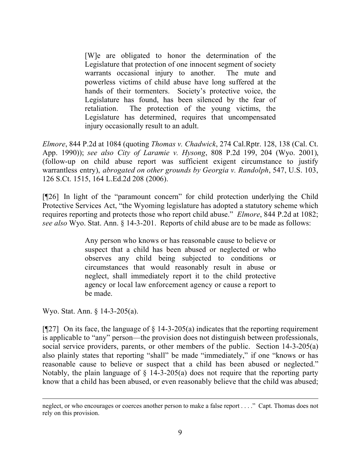[W]e are obligated to honor the determination of the Legislature that protection of one innocent segment of society warrants occasional injury to another. The mute and powerless victims of child abuse have long suffered at the hands of their tormenters. Society's protective voice, the Legislature has found, has been silenced by the fear of retaliation. The protection of the young victims, the Legislature has determined, requires that uncompensated injury occasionally result to an adult.

*Elmore*, 844 P.2d at 1084 (quoting *Thomas v. Chadwick*, 274 Cal.Rptr. 128, 138 (Cal. Ct. App. 1990)); *see also City of Laramie v. Hysong*, 808 P.2d 199, 204 (Wyo. 2001), (follow-up on child abuse report was sufficient exigent circumstance to justify warrantless entry), *abrogated on other grounds by Georgia v. Randolph*, 547, U.S. 103, 126 S.Ct. 1515, 164 L.Ed.2d 208 (2006).

[¶26] In light of the "paramount concern" for child protection underlying the Child Protective Services Act, "the Wyoming legislature has adopted a statutory scheme which requires reporting and protects those who report child abuse." *Elmore*, 844 P.2d at 1082; *see also* Wyo. Stat. Ann. § 14-3-201. Reports of child abuse are to be made as follows:

> Any person who knows or has reasonable cause to believe or suspect that a child has been abused or neglected or who observes any child being subjected to conditions or circumstances that would reasonably result in abuse or neglect, shall immediately report it to the child protective agency or local law enforcement agency or cause a report to be made.

Wyo. Stat. Ann. § 14-3-205(a).

[¶27] On its face, the language of  $\S$  14-3-205(a) indicates that the reporting requirement is applicable to "any" person—the provision does not distinguish between professionals, social service providers, parents, or other members of the public. Section 14-3-205(a) also plainly states that reporting "shall" be made "immediately," if one "knows or has reasonable cause to believe or suspect that a child has been abused or neglected." Notably, the plain language of  $\S$  14-3-205(a) does not require that the reporting party know that a child has been abused, or even reasonably believe that the child was abused;

neglect, or who encourages or coerces another person to make a false report . . . ." Capt. Thomas does not rely on this provision.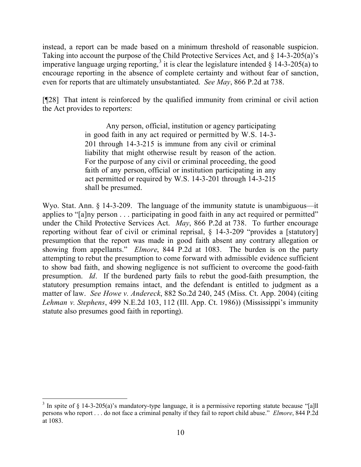instead, a report can be made based on a minimum threshold of reasonable suspicion. Taking into account the purpose of the Child Protective Services Act, and § 14-3-205(a)'s imperative language urging reporting,<sup>3</sup> it is clear the legislature intended  $\hat{\zeta}$  14-3-205(a) to encourage reporting in the absence of complete certainty and without fear of sanction, even for reports that are ultimately unsubstantiated. *See May*, 866 P.2d at 738.

[¶28] That intent is reinforced by the qualified immunity from criminal or civil action the Act provides to reporters:

> Any person, official, institution or agency participating in good faith in any act required or permitted by W.S. 14-3- 201 through 14-3-215 is immune from any civil or criminal liability that might otherwise result by reason of the action. For the purpose of any civil or criminal proceeding, the good faith of any person, official or institution participating in any act permitted or required by W.S. 14-3-201 through 14-3-215 shall be presumed.

Wyo. Stat. Ann. § 14-3-209. The language of the immunity statute is unambiguous—it applies to "[a]ny person . . . participating in good faith in any act required or permitted" under the Child Protective Services Act. *May*, 866 P.2d at 738. To further encourage reporting without fear of civil or criminal reprisal, § 14-3-209 "provides a [statutory] presumption that the report was made in good faith absent any contrary allegation or showing from appellants." *Elmore*, 844 P.2d at 1083. The burden is on the party attempting to rebut the presumption to come forward with admissible evidence sufficient to show bad faith, and showing negligence is not sufficient to overcome the good-faith presumption. *Id*. If the burdened party fails to rebut the good-faith presumption, the statutory presumption remains intact, and the defendant is entitled to judgment as a matter of law. *See Howe v. Andereck*, 882 So.2d 240, 245 (Miss. Ct. App. 2004) (citing *Lehman v. Stephens*, 499 N.E.2d 103, 112 (Ill. App. Ct. 1986)) (Mississippi's immunity statute also presumes good faith in reporting).

 <sup>3</sup> In spite of  $\S$  14-3-205(a)'s mandatory-type language, it is a permissive reporting statute because "[a]ll persons who report . . . do not face a criminal penalty if they fail to report child abuse." *Elmore*, 844 P.2d at 1083.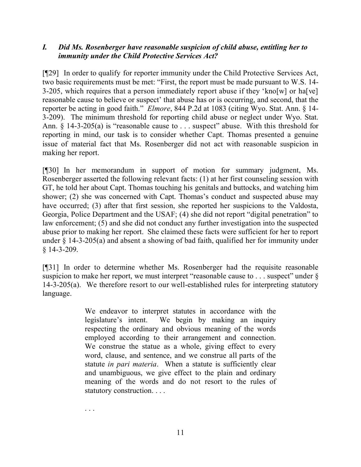## *I. Did Ms. Rosenberger have reasonable suspicion of child abuse, entitling her to immunity under the Child Protective Services Act?*

[¶29] In order to qualify for reporter immunity under the Child Protective Services Act, two basic requirements must be met: "First, the report must be made pursuant to W.S. 14- 3-205, which requires that a person immediately report abuse if they 'kno[w] or ha[ve] reasonable cause to believe or suspect' that abuse has or is occurring, and second, that the reporter be acting in good faith." *Elmore*, 844 P.2d at 1083 (citing Wyo. Stat. Ann. § 14- 3-209). The minimum threshold for reporting child abuse or neglect under Wyo. Stat. Ann. § 14-3-205(a) is "reasonable cause to . . . suspect" abuse. With this threshold for reporting in mind, our task is to consider whether Capt. Thomas presented a genuine issue of material fact that Ms. Rosenberger did not act with reasonable suspicion in making her report.

[¶30] In her memorandum in support of motion for summary judgment, Ms. Rosenberger asserted the following relevant facts: (1) at her first counseling session with GT, he told her about Capt. Thomas touching his genitals and buttocks, and watching him shower; (2) she was concerned with Capt. Thomas's conduct and suspected abuse may have occurred; (3) after that first session, she reported her suspicions to the Valdosta, Georgia, Police Department and the USAF; (4) she did not report "digital penetration" to law enforcement; (5) and she did not conduct any further investigation into the suspected abuse prior to making her report. She claimed these facts were sufficient for her to report under § 14-3-205(a) and absent a showing of bad faith, qualified her for immunity under § 14-3-209.

[¶31] In order to determine whether Ms. Rosenberger had the requisite reasonable suspicion to make her report, we must interpret "reasonable cause to . . . suspect" under  $\delta$ 14-3-205(a). We therefore resort to our well-established rules for interpreting statutory language.

> We endeavor to interpret statutes in accordance with the legislature's intent. We begin by making an inquiry respecting the ordinary and obvious meaning of the words employed according to their arrangement and connection. We construe the statue as a whole, giving effect to every word, clause, and sentence, and we construe all parts of the statute *in pari materia*. When a statute is sufficiently clear and unambiguous, we give effect to the plain and ordinary meaning of the words and do not resort to the rules of statutory construction. . . .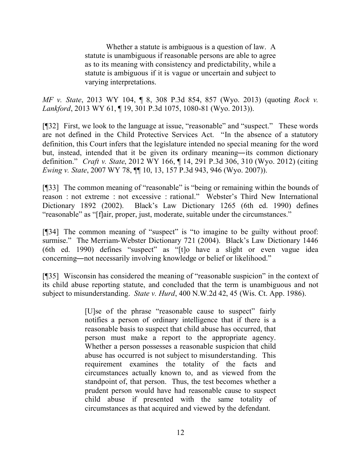Whether a statute is ambiguous is a question of law. A statute is unambiguous if reasonable persons are able to agree as to its meaning with consistency and predictability, while a statute is ambiguous if it is vague or uncertain and subject to varying interpretations.

*MF v. State*, 2013 WY 104, ¶ 8, 308 P.3d 854, 857 (Wyo. 2013) (quoting *Rock v. Lankford*, 2013 WY 61, ¶ 19, 301 P.3d 1075, 1080-81 (Wyo. 2013)).

[¶32] First, we look to the language at issue, "reasonable" and "suspect." These words are not defined in the Child Protective Services Act. "In the absence of a statutory definition, this Court infers that the legislature intended no special meaning for the word but, instead, intended that it be given its ordinary meaning―its common dictionary definition." *Craft v. State*, 2012 WY 166, ¶ 14, 291 P.3d 306, 310 (Wyo. 2012) (citing *Ewing v. State*, 2007 WY 78, ¶¶ 10, 13, 157 P.3d 943, 946 (Wyo. 2007)).

[¶33] The common meaning of "reasonable" is "being or remaining within the bounds of reason : not extreme : not excessive : rational." Webster's Third New International Dictionary 1892 (2002). Black's Law Dictionary 1265 (6th ed. 1990) defines "reasonable" as "[f]air, proper, just, moderate, suitable under the circumstances."

[¶34] The common meaning of "suspect" is "to imagine to be guilty without proof: surmise." The Merriam-Webster Dictionary 721 (2004). Black's Law Dictionary 1446 (6th ed. 1990) defines "suspect" as "[t]o have a slight or even vague idea concerning―not necessarily involving knowledge or belief or likelihood."

[¶35] Wisconsin has considered the meaning of "reasonable suspicion" in the context of its child abuse reporting statute, and concluded that the term is unambiguous and not subject to misunderstanding. *State v. Hurd*, 400 N.W.2d 42, 45 (Wis. Ct. App. 1986).

> [U]se of the phrase "reasonable cause to suspect" fairly notifies a person of ordinary intelligence that if there is a reasonable basis to suspect that child abuse has occurred, that person must make a report to the appropriate agency. Whether a person possesses a reasonable suspicion that child abuse has occurred is not subject to misunderstanding. This requirement examines the totality of the facts and circumstances actually known to, and as viewed from the standpoint of, that person. Thus, the test becomes whether a prudent person would have had reasonable cause to suspect child abuse if presented with the same totality of circumstances as that acquired and viewed by the defendant.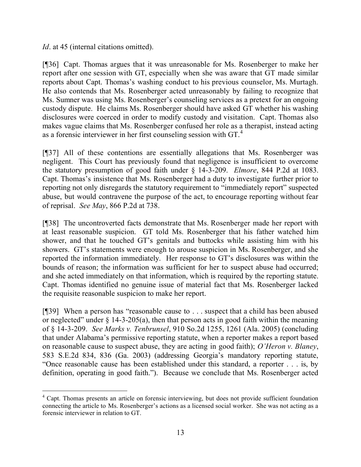*Id.* at 45 (internal citations omitted).

[¶36] Capt. Thomas argues that it was unreasonable for Ms. Rosenberger to make her report after one session with GT, especially when she was aware that GT made similar reports about Capt. Thomas's washing conduct to his previous counselor, Ms. Murtagh. He also contends that Ms. Rosenberger acted unreasonably by failing to recognize that Ms. Sumner was using Ms. Rosenberger's counseling services as a pretext for an ongoing custody dispute. He claims Ms. Rosenberger should have asked GT whether his washing disclosures were coerced in order to modify custody and visitation. Capt. Thomas also makes vague claims that Ms. Rosenberger confused her role as a therapist, instead acting as a forensic interviewer in her first counseling session with GT.<sup>4</sup>

[¶37] All of these contentions are essentially allegations that Ms. Rosenberger was negligent. This Court has previously found that negligence is insufficient to overcome the statutory presumption of good faith under § 14-3-209. *Elmore*, 844 P.2d at 1083. Capt. Thomas's insistence that Ms. Rosenberger had a duty to investigate further prior to reporting not only disregards the statutory requirement to "immediately report" suspected abuse, but would contravene the purpose of the act, to encourage reporting without fear of reprisal. *See May*, 866 P.2d at 738.

[¶38] The uncontroverted facts demonstrate that Ms. Rosenberger made her report with at least reasonable suspicion. GT told Ms. Rosenberger that his father watched him shower, and that he touched GT's genitals and buttocks while assisting him with his showers. GT's statements were enough to arouse suspicion in Ms. Rosenberger, and she reported the information immediately. Her response to GT's disclosures was within the bounds of reason; the information was sufficient for her to suspect abuse had occurred; and she acted immediately on that information, which is required by the reporting statute. Capt. Thomas identified no genuine issue of material fact that Ms. Rosenberger lacked the requisite reasonable suspicion to make her report.

[¶39] When a person has "reasonable cause to . . . suspect that a child has been abused or neglected" under  $\S$  14-3-205(a), then that person acts in good faith within the meaning of § 14-3-209. *See Marks v. Tenbrunsel*, 910 So.2d 1255, 1261 (Ala. 2005) (concluding that under Alabama's permissive reporting statute, when a reporter makes a report based on reasonable cause to suspect abuse, they are acting in good faith); *O'Heron v. Blaney*, 583 S.E.2d 834, 836 (Ga. 2003) (addressing Georgia's mandatory reporting statute, "Once reasonable cause has been established under this standard, a reporter . . . is, by definition, operating in good faith."). Because we conclude that Ms. Rosenberger acted

<sup>&</sup>lt;sup>4</sup> Capt. Thomas presents an article on forensic interviewing, but does not provide sufficient foundation connecting the article to Ms. Rosenberger's actions as a licensed social worker. She was not acting as a forensic interviewer in relation to GT.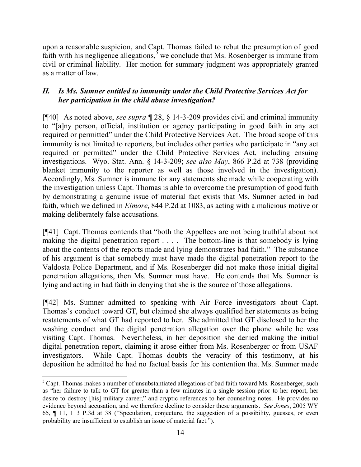upon a reasonable suspicion, and Capt. Thomas failed to rebut the presumption of good faith with his negligence allegations,<sup>5</sup> we conclude that Ms. Rosenberger is immune from civil or criminal liability. Her motion for summary judgment was appropriately granted as a matter of law.

# *II. Is Ms. Sumner entitled to immunity under the Child Protective Services Act for her participation in the child abuse investigation?*

[¶40] As noted above, *see supra* ¶ 28, § 14-3-209 provides civil and criminal immunity to "[a]ny person, official, institution or agency participating in good faith in any act required or permitted" under the Child Protective Services Act. The broad scope of this immunity is not limited to reporters, but includes other parties who participate in "any act required or permitted" under the Child Protective Services Act, including ensuing investigations. Wyo. Stat. Ann. § 14-3-209; *see also May*, 866 P.2d at 738 (providing blanket immunity to the reporter as well as those involved in the investigation). Accordingly, Ms. Sumner is immune for any statements she made while cooperating with the investigation unless Capt. Thomas is able to overcome the presumption of good faith by demonstrating a genuine issue of material fact exists that Ms. Sumner acted in bad faith, which we defined in *Elmore*, 844 P.2d at 1083, as acting with a malicious motive or making deliberately false accusations.

[¶41] Capt. Thomas contends that "both the Appellees are not being truthful about not making the digital penetration report . . . . The bottom-line is that somebody is lying about the contents of the reports made and lying demonstrates bad faith." The substance of his argument is that somebody must have made the digital penetration report to the Valdosta Police Department, and if Ms. Rosenberger did not make those initial digital penetration allegations, then Ms. Sumner must have. He contends that Ms. Sumner is lying and acting in bad faith in denying that she is the source of those allegations.

[¶42] Ms. Sumner admitted to speaking with Air Force investigators about Capt. Thomas's conduct toward GT, but claimed she always qualified her statements as being restatements of what GT had reported to her. She admitted that GT disclosed to her the washing conduct and the digital penetration allegation over the phone while he was visiting Capt. Thomas. Nevertheless, in her deposition she denied making the initial digital penetration report, claiming it arose either from Ms. Rosenberger or from USAF investigators. While Capt. Thomas doubts the veracity of this testimony, at his deposition he admitted he had no factual basis for his contention that Ms. Sumner made

 <sup>5</sup> Capt. Thomas makes a number of unsubstantiated allegations of bad faith toward Ms. Rosenberger, such as "her failure to talk to GT for greater than a few minutes in a single session prior to her report, her desire to destroy [his] military career," and cryptic references to her counseling notes. He provides no evidence beyond accusation, and we therefore decline to consider these arguments. *See Jones*, 2005 WY 65, ¶ 11, 113 P.3d at 38 ("Speculation, conjecture, the suggestion of a possibility, guesses, or even probability are insufficient to establish an issue of material fact.").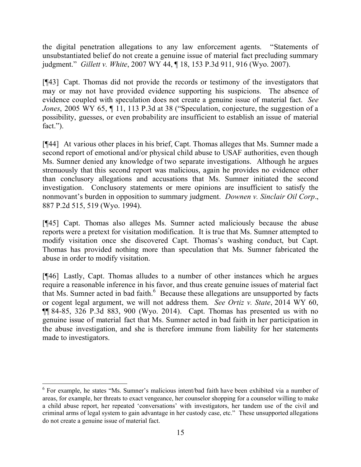the digital penetration allegations to any law enforcement agents. "Statements of unsubstantiated belief do not create a genuine issue of material fact precluding summary judgment." *Gillett v. White*, 2007 WY 44, ¶ 18, 153 P.3d 911, 916 (Wyo. 2007).

[¶43] Capt. Thomas did not provide the records or testimony of the investigators that may or may not have provided evidence supporting his suspicions. The absence of evidence coupled with speculation does not create a genuine issue of material fact. *See Jones*, 2005 WY 65, ¶ 11, 113 P.3d at 38 ("Speculation, conjecture, the suggestion of a possibility, guesses, or even probability are insufficient to establish an issue of material fact.").

[¶44] At various other places in his brief, Capt. Thomas alleges that Ms. Sumner made a second report of emotional and/or physical child abuse to USAF authorities, even though Ms. Sumner denied any knowledge of two separate investigations. Although he argues strenuously that this second report was malicious, again he provides no evidence other than conclusory allegations and accusations that Ms. Sumner initiated the second investigation. Conclusory statements or mere opinions are insufficient to satisfy the nonmovant's burden in opposition to summary judgment. *Downen v. Sinclair Oil Corp*., 887 P.2d 515, 519 (Wyo. 1994).

[¶45] Capt. Thomas also alleges Ms. Sumner acted maliciously because the abuse reports were a pretext for visitation modification. It is true that Ms. Sumner attempted to modify visitation once she discovered Capt. Thomas's washing conduct, but Capt. Thomas has provided nothing more than speculation that Ms. Sumner fabricated the abuse in order to modify visitation.

[¶46] Lastly, Capt. Thomas alludes to a number of other instances which he argues require a reasonable inference in his favor, and thus create genuine issues of material fact that Ms. Sumner acted in bad faith. $<sup>6</sup>$  Because these allegations are unsupported by facts</sup> or cogent legal argument, we will not address them. *See Ortiz v. State*, 2014 WY 60, ¶¶ 84-85, 326 P.3d 883, 900 (Wyo. 2014). Capt. Thomas has presented us with no genuine issue of material fact that Ms. Sumner acted in bad faith in her participation in the abuse investigation, and she is therefore immune from liability for her statements made to investigators.

 <sup>6</sup> For example, he states "Ms. Sumner's malicious intent/bad faith have been exhibited via a number of areas, for example, her threats to exact vengeance, her counselor shopping for a counselor willing to make a child abuse report, her repeated 'conversations' with investigators, her tandem use of the civil and criminal arms of legal system to gain advantage in her custody case, etc." These unsupported allegations do not create a genuine issue of material fact.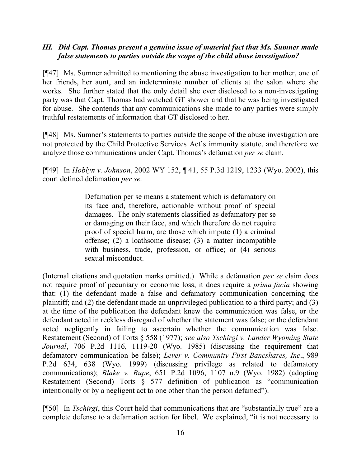## *III. Did Capt. Thomas present a genuine issue of material fact that Ms. Sumner made false statements to parties outside the scope of the child abuse investigation?*

[¶47] Ms. Sumner admitted to mentioning the abuse investigation to her mother, one of her friends, her aunt, and an indeterminate number of clients at the salon where she works. She further stated that the only detail she ever disclosed to a non-investigating party was that Capt. Thomas had watched GT shower and that he was being investigated for abuse. She contends that any communications she made to any parties were simply truthful restatements of information that GT disclosed to her.

[¶48] Ms. Sumner's statements to parties outside the scope of the abuse investigation are not protected by the Child Protective Services Act's immunity statute, and therefore we analyze those communications under Capt. Thomas's defamation *per se* claim.

[¶49] In *Hoblyn v. Johnson*, 2002 WY 152, ¶ 41, 55 P.3d 1219, 1233 (Wyo. 2002), this court defined defamation *per se*.

> Defamation per se means a statement which is defamatory on its face and, therefore, actionable without proof of special damages. The only statements classified as defamatory per se or damaging on their face, and which therefore do not require proof of special harm, are those which impute (1) a criminal offense; (2) a loathsome disease; (3) a matter incompatible with business, trade, profession, or office; or  $(4)$  serious sexual misconduct.

(Internal citations and quotation marks omitted.) While a defamation *per se* claim does not require proof of pecuniary or economic loss, it does require a *prima facia* showing that: (1) the defendant made a false and defamatory communication concerning the plaintiff; and (2) the defendant made an unprivileged publication to a third party; and (3) at the time of the publication the defendant knew the communication was false, or the defendant acted in reckless disregard of whether the statement was false; or the defendant acted negligently in failing to ascertain whether the communication was false. Restatement (Second) of Torts § 558 (1977); *see also Tschirgi v. Lander Wyoming State Journal*, 706 P.2d 1116, 1119-20 (Wyo. 1985) (discussing the requirement that defamatory communication be false); *Lever v. Community First Bancshares, Inc*., 989 P.2d 634, 638 (Wyo. 1999) (discussing privilege as related to defamatory communications); *Blake v. Rupe*, 651 P.2d 1096, 1107 n.9 (Wyo. 1982) (adopting Restatement (Second) Torts § 577 definition of publication as "communication intentionally or by a negligent act to one other than the person defamed").

[¶50] In *Tschirgi*, this Court held that communications that are "substantially true" are a complete defense to a defamation action for libel. We explained, "it is not necessary to